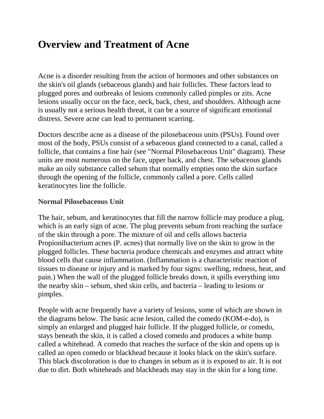# **Overview and Treatment of Acne**

Acne is a disorder resulting from the action of hormones and other substances on the skin's oil glands (sebaceous glands) and hair follicles. These factors lead to plugged pores and outbreaks of lesions commonly called pimples or zits. Acne lesions usually occur on the face, neck, back, chest, and shoulders. Although acne is usually not a serious health threat, it can be a source of significant emotional distress. Severe acne can lead to permanent scarring.

Doctors describe acne as a disease of the pilosebaceous units (PSUs). Found over most of the body, PSUs consist of a sebaceous gland connected to a canal, called a follicle, that contains a fine hair (see "Normal Pilosebaceous Unit" diagram). These units are most numerous on the face, upper back, and chest. The sebaceous glands make an oily substance called sebum that normally empties onto the skin surface through the opening of the follicle, commonly called a pore. Cells called keratinocytes line the follicle.

#### **Normal Pilosebaceous Unit**

The hair, sebum, and keratinocytes that fill the narrow follicle may produce a plug, which is an early sign of acne. The plug prevents sebum from reaching the surface of the skin through a pore. The mixture of oil and cells allows bacteria Propionibacterium acnes (P. acnes) that normally live on the skin to grow in the plugged follicles. These bacteria produce chemicals and enzymes and attract white blood cells that cause inflammation. (Inflammation is a characteristic reaction of tissues to disease or injury and is marked by four signs: swelling, redness, heat, and pain.) When the wall of the plugged follicle breaks down, it spills everything into the nearby skin – sebum, shed skin cells, and bacteria – leading to lesions or pimples.

People with acne frequently have a variety of lesions, some of which are shown in the diagrams below. The basic acne lesion, called the comedo (KOM-e-do), is simply an enlarged and plugged hair follicle. If the plugged follicle, or comedo, stays beneath the skin, it is called a closed comedo and produces a white bump called a whitehead. A comedo that reaches the surface of the skin and opens up is called an open comedo or blackhead because it looks black on the skin's surface. This black discoloration is due to changes in sebum as it is exposed to air. It is not due to dirt. Both whiteheads and blackheads may stay in the skin for a long time.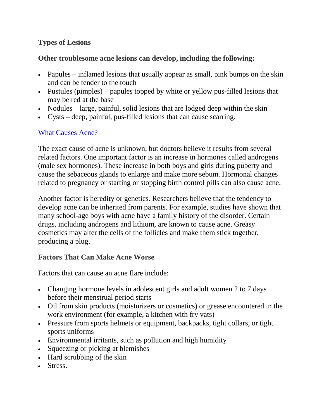## **Types of Lesions**

## **Other troublesome acne lesions can develop, including the following:**

- Papules inflamed lesions that usually appear as small, pink bumps on the skin and can be tender to the touch
- Pustules (pimples) papules topped by white or yellow pus-filled lesions that may be red at the base
- Nodules large, painful, solid lesions that are lodged deep within the skin
- Cysts deep, painful, pus-filled lesions that can cause scarring.

# What Causes Acne?

The exact cause of acne is unknown, but doctors believe it results from several related factors. One important factor is an increase in hormones called androgens (male sex hormones). These increase in both boys and girls during puberty and cause the sebaceous glands to enlarge and make more sebum. Hormonal changes related to pregnancy or starting or stopping birth control pills can also cause acne.

Another factor is heredity or genetics. Researchers believe that the tendency to develop acne can be inherited from parents. For example, studies have shown that many school-age boys with acne have a family history of the disorder. Certain drugs, including androgens and lithium, are known to cause acne. Greasy cosmetics may alter the cells of the follicles and make them stick together, producing a plug.

### **Factors That Can Make Acne Worse**

Factors that can cause an acne flare include:

- Changing hormone levels in adolescent girls and adult women 2 to 7 days before their menstrual period starts
- Oil from skin products (moisturizers or cosmetics) or grease encountered in the work environment (for example, a kitchen with fry vats)
- Pressure from sports helmets or equipment, backpacks, tight collars, or tight sports uniforms
- Environmental irritants, such as pollution and high humidity
- Squeezing or picking at blemishes
- Hard scrubbing of the skin
- Stress.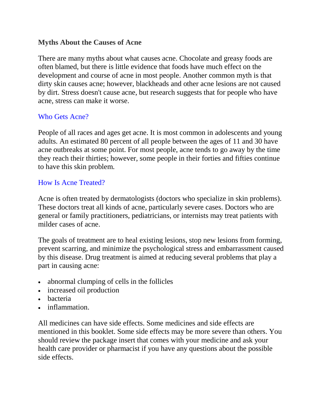#### **Myths About the Causes of Acne**

There are many myths about what causes acne. Chocolate and greasy foods are often blamed, but there is little evidence that foods have much effect on the development and course of acne in most people. Another common myth is that dirty skin causes acne; however, blackheads and other acne lesions are not caused by dirt. Stress doesn't cause acne, but research suggests that for people who have acne, stress can make it worse.

#### Who Gets Acne?

People of all races and ages get acne. It is most common in adolescents and young adults. An estimated 80 percent of all people between the ages of 11 and 30 have acne outbreaks at some point. For most people, acne tends to go away by the time they reach their thirties; however, some people in their forties and fifties continue to have this skin problem.

#### How Is Acne Treated?

Acne is often treated by dermatologists (doctors who specialize in skin problems). These doctors treat all kinds of acne, particularly severe cases. Doctors who are general or family practitioners, pediatricians, or internists may treat patients with milder cases of acne.

The goals of treatment are to heal existing lesions, stop new lesions from forming, prevent scarring, and minimize the psychological stress and embarrassment caused by this disease. Drug treatment is aimed at reducing several problems that play a part in causing acne:

- abnormal clumping of cells in the follicles
- increased oil production
- bacteria
- inflammation.

All medicines can have side effects. Some medicines and side effects are mentioned in this booklet. Some side effects may be more severe than others. You should review the package insert that comes with your medicine and ask your health care provider or pharmacist if you have any questions about the possible side effects.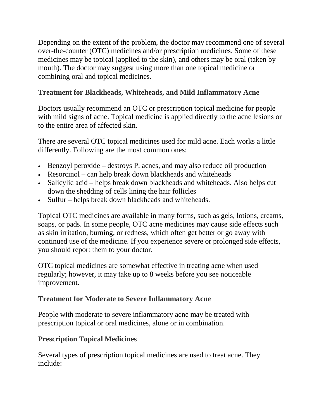Depending on the extent of the problem, the doctor may recommend one of several over-the-counter (OTC) medicines and/or prescription medicines. Some of these medicines may be topical (applied to the skin), and others may be oral (taken by mouth). The doctor may suggest using more than one topical medicine or combining oral and topical medicines.

## **Treatment for Blackheads, Whiteheads, and Mild Inflammatory Acne**

Doctors usually recommend an OTC or prescription topical medicine for people with mild signs of acne. Topical medicine is applied directly to the acne lesions or to the entire area of affected skin.

There are several OTC topical medicines used for mild acne. Each works a little differently. Following are the most common ones:

- Benzoyl peroxide destroys P. acnes, and may also reduce oil production
- Resorcinol can help break down blackheads and whiteheads
- Salicylic acid helps break down blackheads and whiteheads. Also helps cut down the shedding of cells lining the hair follicles
- Sulfur helps break down blackheads and whiteheads.

Topical OTC medicines are available in many forms, such as gels, lotions, creams, soaps, or pads. In some people, OTC acne medicines may cause side effects such as skin irritation, burning, or redness, which often get better or go away with continued use of the medicine. If you experience severe or prolonged side effects, you should report them to your doctor.

OTC topical medicines are somewhat effective in treating acne when used regularly; however, it may take up to 8 weeks before you see noticeable improvement.

### **Treatment for Moderate to Severe Inflammatory Acne**

People with moderate to severe inflammatory acne may be treated with prescription topical or oral medicines, alone or in combination.

# **Prescription Topical Medicines**

Several types of prescription topical medicines are used to treat acne. They include: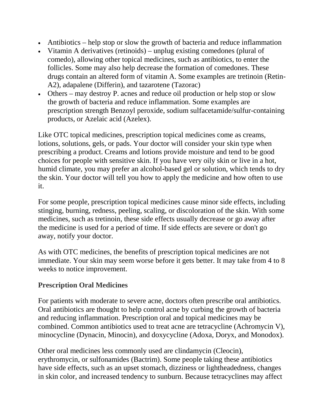- Antibiotics help stop or slow the growth of bacteria and reduce inflammation
- Vitamin A derivatives (retinoids) unplug existing comedones (plural of comedo), allowing other topical medicines, such as antibiotics, to enter the follicles. Some may also help decrease the formation of comedones. These drugs contain an altered form of vitamin A. Some examples are tretinoin (Retin-A2), adapalene (Differin), and tazarotene (Tazorac)
- Others may destroy P. acnes and reduce oil production or help stop or slow the growth of bacteria and reduce inflammation. Some examples are prescription strength Benzoyl peroxide, sodium sulfacetamide/sulfur-containing products, or Azelaic acid (Azelex).

Like OTC topical medicines, prescription topical medicines come as creams, lotions, solutions, gels, or pads. Your doctor will consider your skin type when prescribing a product. Creams and lotions provide moisture and tend to be good choices for people with sensitive skin. If you have very oily skin or live in a hot, humid climate, you may prefer an alcohol-based gel or solution, which tends to dry the skin. Your doctor will tell you how to apply the medicine and how often to use it.

For some people, prescription topical medicines cause minor side effects, including stinging, burning, redness, peeling, scaling, or discoloration of the skin. With some medicines, such as tretinoin, these side effects usually decrease or go away after the medicine is used for a period of time. If side effects are severe or don't go away, notify your doctor.

As with OTC medicines, the benefits of prescription topical medicines are not immediate. Your skin may seem worse before it gets better. It may take from 4 to 8 weeks to notice improvement.

### **Prescription Oral Medicines**

For patients with moderate to severe acne, doctors often prescribe oral antibiotics. Oral antibiotics are thought to help control acne by curbing the growth of bacteria and reducing inflammation. Prescription oral and topical medicines may be combined. Common antibiotics used to treat acne are tetracycline (Achromycin V), minocycline (Dynacin, Minocin), and doxycycline (Adoxa, Doryx, and Monodox).

Other oral medicines less commonly used are clindamycin (Cleocin), erythromycin, or sulfonamides (Bactrim). Some people taking these antibiotics have side effects, such as an upset stomach, dizziness or lightheadedness, changes in skin color, and increased tendency to sunburn. Because tetracyclines may affect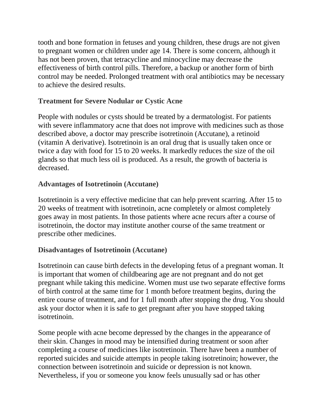tooth and bone formation in fetuses and young children, these drugs are not given to pregnant women or children under age 14. There is some concern, although it has not been proven, that tetracycline and minocycline may decrease the effectiveness of birth control pills. Therefore, a backup or another form of birth control may be needed. Prolonged treatment with oral antibiotics may be necessary to achieve the desired results.

## **Treatment for Severe Nodular or Cystic Acne**

People with nodules or cysts should be treated by a dermatologist. For patients with severe inflammatory acne that does not improve with medicines such as those described above, a doctor may prescribe isotretinoin (Accutane), a retinoid (vitamin A derivative). Isotretinoin is an oral drug that is usually taken once or twice a day with food for 15 to 20 weeks. It markedly reduces the size of the oil glands so that much less oil is produced. As a result, the growth of bacteria is decreased.

# **Advantages of Isotretinoin (Accutane)**

Isotretinoin is a very effective medicine that can help prevent scarring. After 15 to 20 weeks of treatment with isotretinoin, acne completely or almost completely goes away in most patients. In those patients where acne recurs after a course of isotretinoin, the doctor may institute another course of the same treatment or prescribe other medicines.

# **Disadvantages of Isotretinoin (Accutane)**

Isotretinoin can cause birth defects in the developing fetus of a pregnant woman. It is important that women of childbearing age are not pregnant and do not get pregnant while taking this medicine. Women must use two separate effective forms of birth control at the same time for 1 month before treatment begins, during the entire course of treatment, and for 1 full month after stopping the drug. You should ask your doctor when it is safe to get pregnant after you have stopped taking isotretinoin.

Some people with acne become depressed by the changes in the appearance of their skin. Changes in mood may be intensified during treatment or soon after completing a course of medicines like isotretinoin. There have been a number of reported suicides and suicide attempts in people taking isotretinoin; however, the connection between isotretinoin and suicide or depression is not known. Nevertheless, if you or someone you know feels unusually sad or has other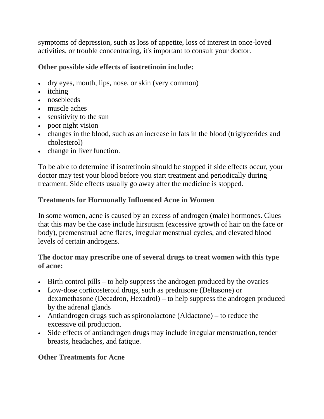symptoms of depression, such as loss of appetite, loss of interest in once-loved activities, or trouble concentrating, it's important to consult your doctor.

## **Other possible side effects of isotretinoin include:**

- dry eyes, mouth, lips, nose, or skin (very common)
- itching
- nosebleeds
- muscle aches
- sensitivity to the sun
- poor night vision
- changes in the blood, such as an increase in fats in the blood (triglycerides and cholesterol)
- change in liver function.

To be able to determine if isotretinoin should be stopped if side effects occur, your doctor may test your blood before you start treatment and periodically during treatment. Side effects usually go away after the medicine is stopped.

# **Treatments for Hormonally Influenced Acne in Women**

In some women, acne is caused by an excess of androgen (male) hormones. Clues that this may be the case include hirsutism (excessive growth of hair on the face or body), premenstrual acne flares, irregular menstrual cycles, and elevated blood levels of certain androgens.

### **The doctor may prescribe one of several drugs to treat women with this type of acne:**

- Birth control pills to help suppress the androgen produced by the ovaries
- Low-dose corticosteroid drugs, such as prednisone (Deltasone) or dexamethasone (Decadron, Hexadrol) – to help suppress the androgen produced by the adrenal glands
- Antiandrogen drugs such as spironolactone (Aldactone) to reduce the excessive oil production.
- Side effects of antiandrogen drugs may include irregular menstruation, tender breasts, headaches, and fatigue.

# **Other Treatments for Acne**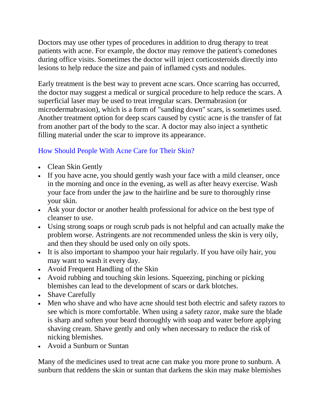Doctors may use other types of procedures in addition to drug therapy to treat patients with acne. For example, the doctor may remove the patient's comedones during office visits. Sometimes the doctor will inject corticosteroids directly into lesions to help reduce the size and pain of inflamed cysts and nodules.

Early treatment is the best way to prevent acne scars. Once scarring has occurred, the doctor may suggest a medical or surgical procedure to help reduce the scars. A superficial laser may be used to treat irregular scars. Dermabrasion (or microdermabrasion), which is a form of "sanding down" scars, is sometimes used. Another treatment option for deep scars caused by cystic acne is the transfer of fat from another part of the body to the scar. A doctor may also inject a synthetic filling material under the scar to improve its appearance.

# How Should People With Acne Care for Their Skin?

- Clean Skin Gently
- If you have acne, you should gently wash your face with a mild cleanser, once in the morning and once in the evening, as well as after heavy exercise. Wash your face from under the jaw to the hairline and be sure to thoroughly rinse your skin.
- Ask your doctor or another health professional for advice on the best type of cleanser to use.
- Using strong soaps or rough scrub pads is not helpful and can actually make the problem worse. Astringents are not recommended unless the skin is very oily, and then they should be used only on oily spots.
- It is also important to shampoo your hair regularly. If you have oily hair, you may want to wash it every day.
- Avoid Frequent Handling of the Skin
- Avoid rubbing and touching skin lesions. Squeezing, pinching or picking blemishes can lead to the development of scars or dark blotches.
- Shave Carefully
- Men who shave and who have acne should test both electric and safety razors to see which is more comfortable. When using a safety razor, make sure the blade is sharp and soften your beard thoroughly with soap and water before applying shaving cream. Shave gently and only when necessary to reduce the risk of nicking blemishes.
- Avoid a Sunburn or Suntan

Many of the medicines used to treat acne can make you more prone to sunburn. A sunburn that reddens the skin or suntan that darkens the skin may make blemishes